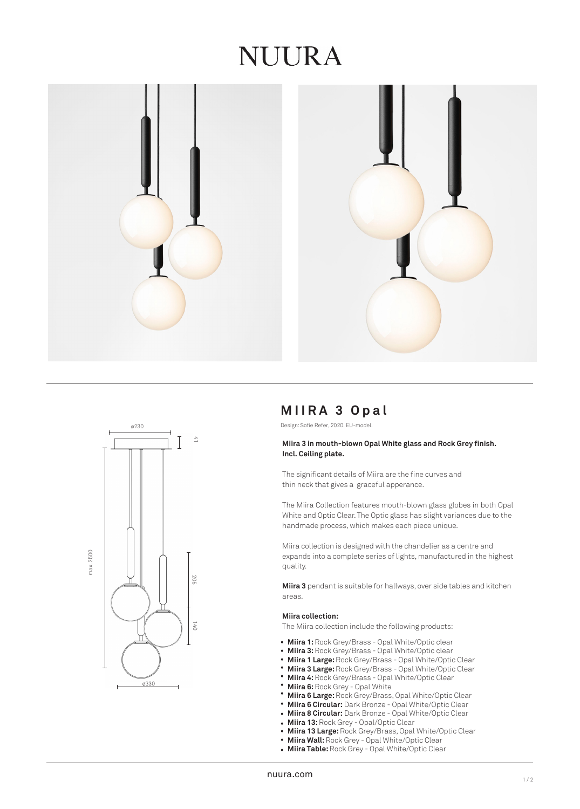# NUURA





# **MIIRA 3 Opal**

Design: Sofie Refer, 2020. EU-model.

### **Miira 3 in mouth-blown Opal White glass and Rock Grey finish. Incl. Ceiling plate.**

The significant details of Miira are the fine curves and thin neck that gives a graceful apperance.

The Miira Collection features mouth-blown glass globes in both Opal White and Optic Clear. The Optic glass has slight variances due to the handmade process, which makes each piece unique.

Miira collection is designed with the chandelier as a centre and expands into a complete series of lights, manufactured in the highest quality.

**Miira 3** pendant is suitable for hallways, over side tables and kitchen areas.

#### **Miira collection:**

The Miira collection include the following products:

- Miira 1: Rock Grey/Brass Opal White/Optic clear
- **Miira 3:** Rock Grey/Brass Opal White/Optic clear •
- **Miira 1 Large:** Rock Grey/Brass Opal White/Optic Clear •
- **Miira 3 Large:** Rock Grey/Brass Opal White/Optic Clear •
- **Miira 4:** Rock Grey/Brass Opal White/Optic Clear •
- **Miira 6:** Rock Grey Opal White •
- **Miira 6 Large:** Rock Grey/Brass, Opal White/Optic Clear •
- **Miira 6 Circular:** Dark Bronze Opal White/Optic Clear
- **Miira 8 Circular:** Dark Bronze Opal White/Optic Clear •
- **Miira 13:** Rock Grey Opal/Optic Clear
- **Miira 13 Large:** Rock Grey/Brass, Opal White/Optic Clear •
- **Miira Wall: Rock Grey Opal White/Optic Clear**
- **Miira Table:** Rock Grey Opal White/Optic Clear •